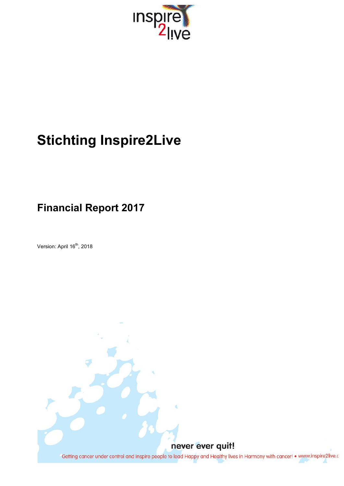

# **Stichting Inspire2Live**

# **Financial Report 2017**

Version: April 16<sup>th</sup>, 2018

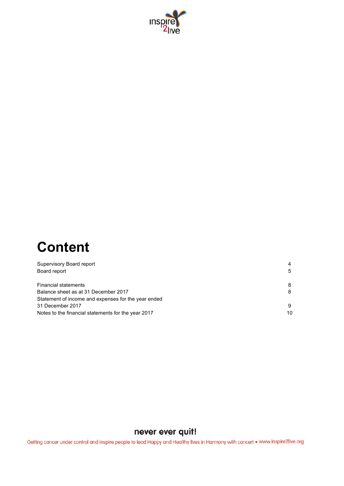

# **Content**

| Supervisory Board report                            | 4  |
|-----------------------------------------------------|----|
| Board report                                        | 5  |
| <b>Financial statements</b>                         | 8  |
| Balance sheet as at 31 December 2017                | 8  |
| Statement of income and expenses for the year ended |    |
| 31 December 2017                                    | 9  |
| Notes to the financial statements for the year 2017 | 10 |

## never ever quit!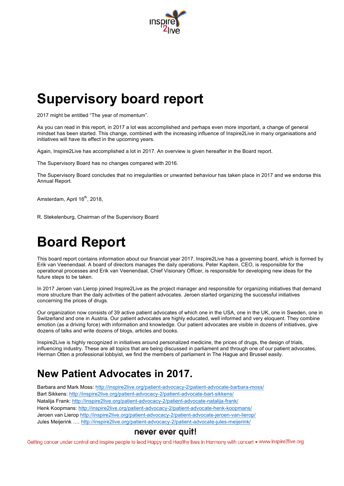

# **Supervisory board report**

2017 might be entitled "The year of momentum".

As you can read in this report, in 2017 a lot was accomplished and perhaps even more important, a change of general mindset has been started. This change, combined with the increasing influence of Inspire2Live in many organisations and initiatives will have its effect in the upcoming years.

Again, Inspire2Live has accomplished a lot in 2017. An overview is given hereafter in the Board report.

The Supervisory Board has no changes compared with 2016.

The Supervisory Board concludes that no irregularities or unwanted behaviour has taken place in 2017 and we endorse this Annual Report.

Amsterdam, April 16<sup>th</sup>, 2018,

R. Stekelenburg, Chairman of the Supervisory Board

# **Board Report**

This board report contains information about our financial year 2017. Inspire2Live has a governing board, which is formed by Erik van Veenendaal. A board of directors manages the daily operations. Peter Kapitein, CEO, is responsible for the operational processes and Erik van Veenendaal, Chief Visionary Officer, is responsible for developing new ideas for the future steps to be taken.

In 2017 Jeroen van Lierop joined Inspire2Live as the project manager and responsible for organizing initiatives that demand more structure than the daily activities of the patient advocates. Jeroen started organizing the successful initiatives concerning the prices of drugs.

Our organization now consists of 39 active patient advocates of which one in the USA, one in the UK, one in Sweden, one in Switzerland and one in Austria. Our patient advocates are highly educated, well informed and very eloquent. They combine emotion (as a driving force) with information and knowledge. Our patient advocates are visible in dozens of initiatives, give dozens of talks and write dozens of blogs, articles and books.

Inspire2Live is highly recognized in initiatives around personalized medicine, the prices of drugs, the design of trials, influencing industry. These are all topics that are being discussed in parliament and through one of our patient advocates, Herman Otten a professional lobbyist, we find the members of parliament in The Hague and Brussel easily.

# **New Patient Advocates in 2017.**

Barbara and Mark Moss: http://inspire2live.org/patient-advocacy-2/patient-advocate-barbara-moss/ Bart Sikkens: http://inspire2live.org/patient-advocacy-2/patient-advocate-bart-sikkens/ Natalija Frank: http://inspire2live.org/patient-advocacy-2/patient-advocate-natalija-frank/ Henk Koopmans: http://inspire2live.org/patient-advocacy-2/patient-advocate-henk-koopmans/ Jeroen van Lierop http://inspire2live.org/patient-advocacy-2/patient-advocate-jeroen-van-lierop/ Jules Meijerink …. http://inspire2live.org/patient-advocacy-2/patient-advocate-jules-meijerink/

### never ever quit!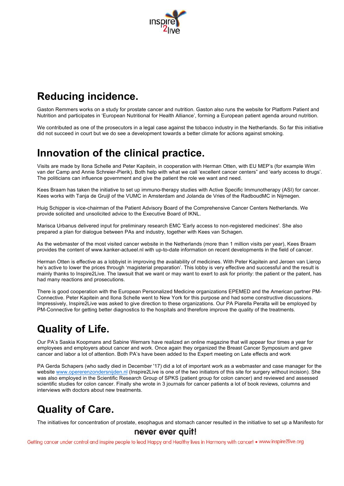

# **Reducing incidence.**

Gaston Remmers works on a study for prostate cancer and nutrition. Gaston also runs the website for Platform Patient and Nutrition and participates in 'European Nutritional for Health Alliance', forming a European patient agenda around nutrition.

We contributed as one of the prosecutors in a legal case against the tobacco industry in the Netherlands. So far this initiative did not succeed in court but we do see a development towards a better climate for actions against smoking.

# **Innovation of the clinical practice.**

Visits are made by Ilona Schelle and Peter Kapitein, in cooperation with Herman Otten, with EU MEP's (for example Wim van der Camp and Annie Schreier-Pierik). Both help with what we call 'excellent cancer centers" and 'early access to drugs'. The politicians can influence government and give the patient the role we want and need.

Kees Braam has taken the initiative to set up immuno-therapy studies with Active Specific Immunotherapy (ASI) for cancer. Kees works with Tanja de Gruijl of the VUMC in Amsterdam and Jolanda de Vries of the RadboudMC in Nijmegen.

Huig Schipper is vice-chairman of the Patient Advisory Board of the Comprehensive Cancer Centers Netherlands. We provide solicited and unsolicited advice to the Executive Board of IKNL.

Marisca Urbanus delivered input for preliminary research EMC 'Early access to non-registered medicines'. She also prepared a plan for dialogue between PAs and industry, together with Kees van Schagen.

As the webmaster of the most visited cancer website in the Netherlands (more than 1 million visits per year), Kees Braam provides the content of www.kanker-actueel.nl with up-to-date information on recent developments in the field of cancer.

Herman Otten is effective as a lobbyist in improving the availability of medicines. With Peter Kapitein and Jeroen van Lierop he's active to lower the prices through 'magisterial preparation'. This lobby is very effective and successful and the result is mainly thanks to Inspire2Live. The lawsuit that we want or may want to exert to ask for priority: the patient or the patent, has had many reactions and prosecutions.

There is good cooperation with the European Personalized Medicine organizations EPEMED and the American partner PM-Connective. Peter Kapitein and Ilona Schelle went to New York for this purpose and had some constructive discussions. Impressively, Inspire2Live was asked to give direction to these organizations. Our PA Piarella Peralta will be employed by PM-Connective for getting better diagnostics to the hospitals and therefore improve the quality of the treatments.

# **Quality of Life.**

Our PA's Saskia Koopmans and Sabine Wernars have realized an online magazine that will appear four times a year for employees and employers about cancer and work. Once again they organized the Breast Cancer Symposium and gave cancer and labor a lot of attention. Both PA's have been added to the Expert meeting on Late effects and work

PA Gerda Schapers (who sadly died in December '17) did a lot of important work as a webmaster and case manager for the website www.opererenzondersnijden.nl (Inspire2Live is one of the two initiators of this site for surgery without incision). She was also employed in the Scientific Research Group of SPKS (patient group for colon cancer) and reviewed and assessed scientific studies for colon cancer. Finally she wrote in 3 journals for cancer patients a lot of book reviews, columns and interviews with doctors about new treatments.

# **Quality of Care.**

The initiatives for concentration of prostate, esophagus and stomach cancer resulted in the initiative to set up a Manifesto for

### never ever quit!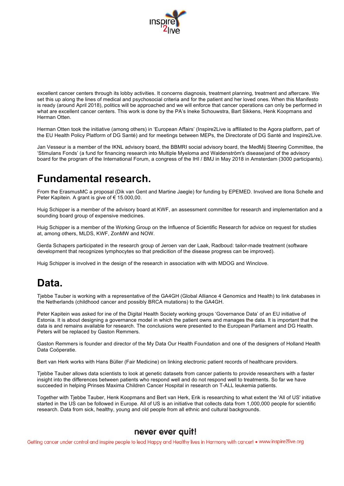

excellent cancer centers through its lobby activities. It concerns diagnosis, treatment planning, treatment and aftercare. We set this up along the lines of medical and psychosocial criteria and for the patient and her loved ones. When this Manifesto is ready (around April 2018), politics will be approached and we will enforce that cancer operations can only be performed in what are excellent cancer centers. This work is done by the PA's Ineke Schouwstra, Bart Sikkens, Henk Koopmans and Herman Otten.

Herman Otten took the initiative (among others) in 'European Affairs' (Inspire2Live is affiliated to the Agora platform, part of the EU Health Policy Platform of DG Santé) and for meetings between MEPs, the Directorate of DG Santé and Inspire2Live.

Jan Vesseur is a member of the IKNL advisory board, the BBMRI social advisory board, the MedMij Steering Committee, the 'Stimulans Fonds' (a fund for financing research into Multiple Myeloma and Waldenström's disease)and of the advisory board for the program of the International Forum, a congress of the IHI / BMJ in May 2018 in Amsterdam (3000 participants).

# **Fundamental research.**

From the ErasmusMC a proposal (Dik van Gent and Martine Jaegle) for funding by EPEMED. Involved are Ilona Schelle and Peter Kapitein. A grant is give of € 15.000,00.

Huig Schipper is a member of the advisory board at KWF, an assessment committee for research and implementation and a sounding board group of expensive medicines.

Huig Schipper is a member of the Working Group on the Influence of Scientific Research for advice on request for studies at, among others, MLDS, KWF, ZonMW and NOW.

Gerda Schapers participated in the research group of Jeroen van der Laak, Radboud: tailor-made treatment (software development that recognizes lymphocytes so that predicition of the disease progress can be improved).

Huig Schipper is involved in the design of the research in association with with MDOG and Winclove.

# **Data.**

Tjebbe Tauber is working with a representative of the GA4GH (Global Alliance 4 Genomics and Health) to link databases in the Netherlands (childhood cancer and possibly BRCA mutations) to the GA4GH.

Peter Kapitein was asked for ine of the Digital Health Society working groups 'Governance Data' of an EU initiative of Estonia. It is about designing a governance model in which the patient owns and manages the data. It is important that the data is and remains available for research. The conclusions were presented to the European Parliament and DG Health. Peters will be replaced by Gaston Remmers.

Gaston Remmers is founder and director of the My Data Our Health Foundation and one of the designers of Holland Health Data Coöperatie.

Bert van Herk works with Hans Büller (Fair Medicine) on linking electronic patient records of healthcare providers.

Tjebbe Tauber allows data scientists to look at genetic datasets from cancer patients to provide researchers with a faster insight into the differences between patients who respond well and do not respond well to treatments. So far we have succeeded in helping Prinses Maxima Children Cancer Hospital in research on T-ALL leukemia patients.

Together with Tjebbe Tauber, Henk Koopmans and Bert van Herk, Erik is researching to what extent the 'All of US' initiative started in the US can be followed in Europe. All of US is an initiative that collects data from 1,000,000 people for scientific research. Data from sick, healthy, young and old people from all ethnic and cultural backgrounds.

### never ever quit!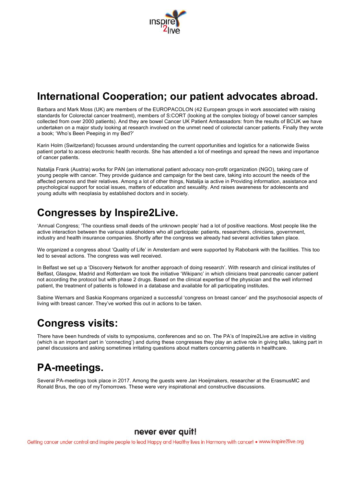

# **International Cooperation; our patient advocates abroad.**

Barbara and Mark Moss (UK) are members of the EUROPACOLON (42 European groups in work associated with raising standards for Colorectal cancer treatment), members of S:CORT (looking at the complex biology of bowel cancer samples collected from over 2000 patients). And they are bowel Cancer UK Patient Ambassadors: from the results of BCUK we have undertaken on a major study looking at research involved on the unmet need of colorectal cancer patients. Finally they wrote a book; 'Who's Been Peeping in my Bed?'

Karin Holm (Switzerland) focusses around understanding the current opportunities and logistics for a nationwide Swiss patient portal to access electronic health records. She has attended a lot of meetings and spread the news and importance of cancer patients.

Natalija Frank (Austria) works for PAN (an international patient advocacy non-profit organization (NGO), taking care of young people with cancer. They provide guidance and campaign for the best care, taking into account the needs of the affected persons and their relatives. Among a lot of other things, Natalija ia active in Providing information, assistance and psychological support for social issues, matters of education and sexuality. And raises awareness for adolescents and young adults with neoplasia by established doctors and in society.

# **Congresses by Inspire2Live.**

'Annual Congress; 'The countless small deeds of the unknown people' had a lot of positive reactions. Most people like the active interaction between the various stakeholders who all participate: patients, researchers, clinicians, government, industry and health insurance companies. Shortly after the congress we already had several activities taken place.

We organized a congress about 'Quality of Life' in Amsterdam and were supported by Rabobank with the facilities. This too led to seveal actions. The congress was well received.

In Belfast we set up a 'Discovery Network for another approach of doing research'. With research and clinical institutes of Belfast, Glasgow, Madrid and Rotterdam we took the initiative 'Wikipanc' in which clinicians treat pancreatic cancer patient not according the protocol but with phase 2 drugs. Based on the clinical expertise of the physician and the well informed patient, the treatment of patients is followed in a database and available for all participating institutes.

Sabine Wernars and Saskia Koopmans organized a successful 'congress on breast cancer' and the psychosocial aspects of living with breast cancer. They've worked this out in actions to be taken.

# **Congress visits:**

There have been hundreds of visits to symposiums, conferences and so on. The PA's of Inspire2Live are active in visiting (which is an important part in 'connecting') and during these congresses they play an active role in giving talks, taking part in panel discussions and asking sometimes irritating questions about matters concerning patients in healthcare.

# **PA-meetings.**

Several PA-meetings took place in 2017. Among the guests were Jan Hoeijmakers, researcher at the ErasmusMC and Ronald Brus, the ceo of myTomorrows. These were very inspirational and constructive discussions.

### never ever quit!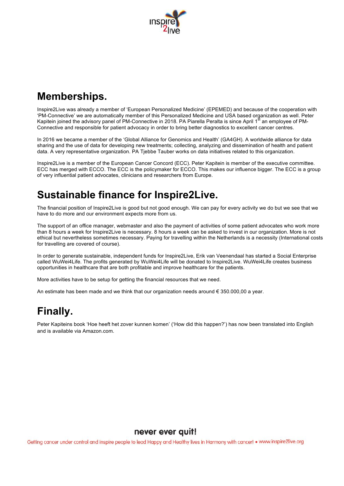

# **Memberships.**

Inspire2Live was already a member of 'European Personalized Medicine' (EPEMED) and because of the cooperation with 'PM-Connective' we are automatically member of this Personalized Medicine and USA based organization as well. Peter Kapitein joined the advisory panel of PM-Connective in 2018. PA Piarella Peralta is since April 1<sup>st</sup> an employee of PM-Connective and responsible for patient advocacy in order to bring better diagnostics to excellent cancer centres.

In 2016 we became a member of the 'Global Alliance for Genomics and Health' (GA4GH). A worldwide alliance for data sharing and the use of data for developing new treatments; collecting, analyzing and dissemination of health and patient data. A very representative organization. PA Tjebbe Tauber works on data initiatives related to this organization.

Inspire2Live is a member of the European Cancer Concord (ECC). Peter Kapitein is member of the executive committee. ECC has merged with ECCO. The ECC is the policymaker for ECCO. This makes our influence bigger. The ECC is a group of very influential patient advocates, clinicians and researchers from Europe.

# **Sustainable finance for Inspire2Live.**

The financial position of Inspire2Live is good but not good enough. We can pay for every activity we do but we see that we have to do more and our environment expects more from us.

The support of an office manager, webmaster and also the payment of activities of some patient advocates who work more than 8 hours a week for Inspire2Live is necessary. 8 hours a week can be asked to invest in our organization. More is not ethical but nevertheless sometimes necessary. Paying for travelling within the Netherlands is a necessity (International costs for travelling are covered of course).

In order to generate sustainable, independent funds for Inspire2Live, Erik van Veenendaal has started a Social Enterprise called WuWei4Life. The profits generated by WuWei4Life will be donated to Inspire2Live. WuWei4Life creates business opportunities in healthcare that are both profitable and improve healthcare for the patients.

More activities have to be setup for getting the financial resources that we need.

An estimate has been made and we think that our organization needs around  $\epsilon$  350.000,00 a year.

# **Finally.**

Peter Kapiteins book 'Hoe heeft het zover kunnen komen' ('How did this happen?') has now been translated into English and is available via Amazon.com.

#### never ever quit!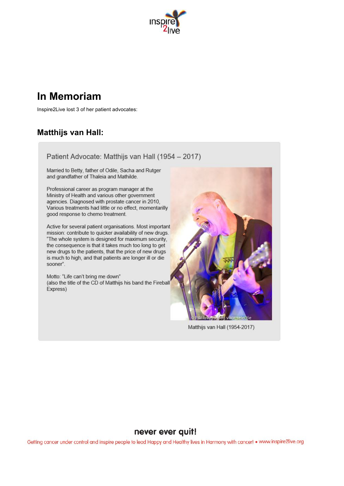

# **In Memoriam**

Inspire2Live lost 3 of her patient advocates:

## **Matthijs van Hall:**

Patient Advocate: Matthijs van Hall (1954 - 2017)

Married to Betty, father of Odile, Sacha and Rutger and grandfather of Thaleia and Mathilde.

Professional career as program manager at the Ministry of Health and various other government agencies. Diagnosed with prostate cancer in 2010, Various treatments had little or no effect, momentarilly good response to chemo treatment.

Active for several patient organisations. Most important mission: contribute to quicker availability of new drugs. "The whole system is designed for maximum security, the consequence is that it takes much too long to get new drugs to the patients, that the price of new drugs is much to high, and that patients are longer ill or die sooner".

Motto: "Life can't bring me down" (also the title of the CD of Matthijs his band the Fireball Express)



Matthijs van Hall (1954-2017)

### never ever quit!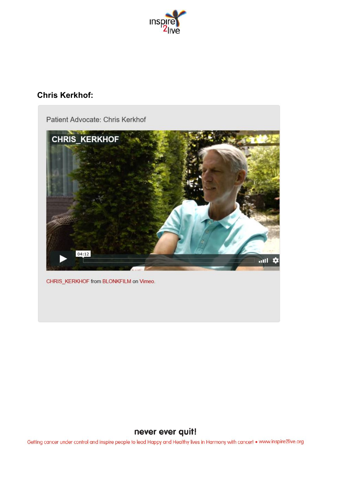

## **Chris Kerkhof:**



### never ever quit!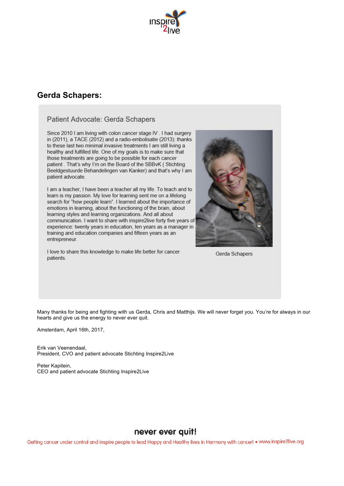

### **Gerda Schapers:**

#### Patient Advocate: Gerda Schapers

Since 2010 I am living with colon cancer stage IV . I had surgery in (2011), a TACE (2012) and a radio-embolisatie (2013): thanks to these last two minimal invasive treatments I am still living a healthy and fulfilled life. One of my goals is to make sure that those treatments are going to be possible for each cancer patient. That's why I'm on the Board of the SBBvK (Stichting Beeldgestuurde Behandelingen van Kanker) and that's why I am patient advocate.

I am a teacher, I have been a teacher all my life. To teach and to learn is my passion. My love for learning sent me on a lifelong search for "how people learn". I learned about the importance of emotions in learning, about the functioning of the brain, about learning styles and learning organizations. And all about communication. I want to share with inspire2live forty five years of experience: twenty years in education, ten years as a manager in training and education companies and fifteen years as an entrepreneur.

I love to share this knowledge to make life better for cancer patients.

Gerda Schapers

Many thanks for being and fighting with us Gerda, Chris and Matthijs. We will never forget you. You're for always in our hearts and give us the energy to never ever quit.

Amsterdam, April 16th, 2017,

Erik van Veenendaal, President, CVO and patient advocate Stichting Inspire2Live

Peter Kapitein, CEO and patient advocate Stichting Inspire2Live

### never ever quit!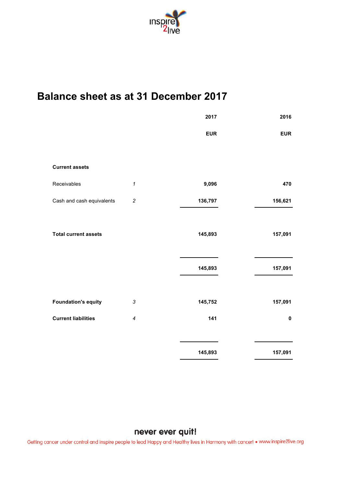

# **Balance sheet as at 31 December 2017**

|                             |                            | 2017       | 2016       |
|-----------------------------|----------------------------|------------|------------|
|                             |                            | <b>EUR</b> | <b>EUR</b> |
|                             |                            |            |            |
| <b>Current assets</b>       |                            |            |            |
| Receivables                 | $\boldsymbol{\mathcal{L}}$ | 9,096      | 470        |
| Cash and cash equivalents   | $\overline{c}$             | 136,797    | 156,621    |
|                             |                            |            |            |
| <b>Total current assets</b> |                            | 145,893    | 157,091    |
|                             |                            |            |            |
|                             |                            | 145,893    | 157,091    |
|                             |                            |            |            |
| <b>Foundation's equity</b>  | $\sqrt{3}$                 | 145,752    | 157,091    |
| <b>Current liabilities</b>  | 4                          | 141        | $\pmb{0}$  |
|                             |                            |            |            |
|                             |                            | 145,893    | 157,091    |

### never ever quit!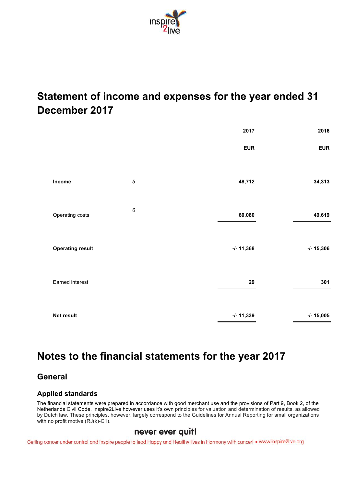

# **Statement of income and expenses for the year ended 31 December 2017**

|                         |                  | 2017          | 2016          |
|-------------------------|------------------|---------------|---------------|
|                         |                  | <b>EUR</b>    | <b>EUR</b>    |
| Income                  | $\sqrt{5}$       | 48,712        | 34,313        |
| Operating costs         | $\boldsymbol{6}$ | 60,080        | 49,619        |
| <b>Operating result</b> |                  | $-1 - 11,368$ | $-1 - 15,306$ |
| Earned interest         |                  | 29            | 301           |
| Net result              |                  | $-1 - 11,339$ | $-/- 15,005$  |

# **Notes to the financial statements for the year 2017**

### **General**

### **Applied standards**

The financial statements were prepared in accordance with good merchant use and the provisions of Part 9, Book 2, of the Netherlands Civil Code. Inspire2Live however uses it's own principles for valuation and determination of results, as allowed by Dutch law. These principles, however, largely correspond to the Guidelines for Annual Reporting for small organizations with no profit motive (RJ(k)-C1).

### never ever quit!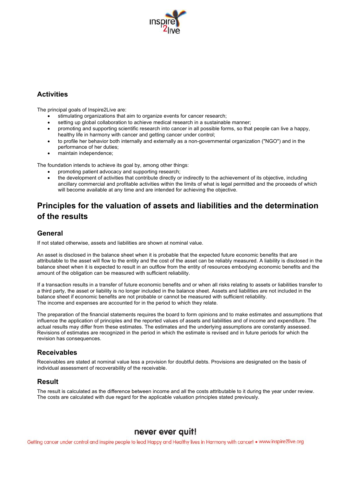

### **Activities**

The principal goals of Inspire2Live are:

- stimulating organizations that aim to organize events for cancer research;
- setting up global collaboration to achieve medical research in a sustainable manner;
- promoting and supporting scientific research into cancer in all possible forms, so that people can live a happy, healthy life in harmony with cancer and getting cancer under control;
- to profile her behavior both internally and externally as a non-governmental organization ("NGO") and in the performance of her duties;
- maintain independence:

The foundation intends to achieve its goal by, among other things:

- promoting patient advocacy and supporting research;
- the development of activities that contribute directly or indirectly to the achievement of its objective, including ancillary commercial and profitable activities within the limits of what is legal permitted and the proceeds of which will become available at any time and are intended for achieving the objective.

## **Principles for the valuation of assets and liabilities and the determination of the results**

#### **General**

If not stated otherwise, assets and liabilities are shown at nominal value.

An asset is disclosed in the balance sheet when it is probable that the expected future economic benefits that are attributable to the asset will flow to the entity and the cost of the asset can be reliably measured. A liability is disclosed in the balance sheet when it is expected to result in an outflow from the entity of resources embodying economic benefits and the amount of the obligation can be measured with sufficient reliability.

If a transaction results in a transfer of future economic benefits and or when all risks relating to assets or liabilities transfer to a third party, the asset or liability is no longer included in the balance sheet. Assets and liabilities are not included in the balance sheet if economic benefits are not probable or cannot be measured with sufficient reliability. The income and expenses are accounted for in the period to which they relate.

The preparation of the financial statements requires the board to form opinions and to make estimates and assumptions that influence the application of principles and the reported values of assets and liabilities and of income and expenditure. The actual results may differ from these estimates. The estimates and the underlying assumptions are constantly assessed. Revisions of estimates are recognized in the period in which the estimate is revised and in future periods for which the revision has consequences.

### **Receivables**

Receivables are stated at nominal value less a provision for doubtful debts. Provisions are designated on the basis of individual assessment of recoverability of the receivable.

### **Result**

The result is calculated as the difference between income and all the costs attributable to it during the year under review. The costs are calculated with due regard for the applicable valuation principles stated previously.

### never ever quit!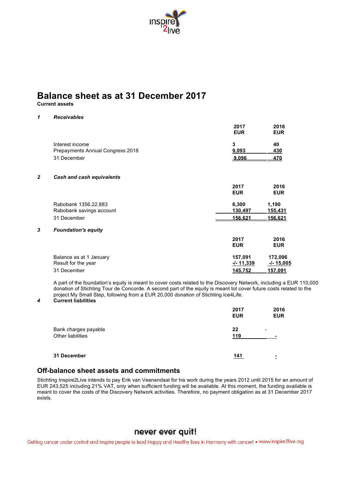

# **Balance sheet as at 31 December 2017**

**Current assets**

#### *1 Receivables*

|                         |                                  | 2017<br><b>EUR</b> | 2016<br><b>EUR</b> |
|-------------------------|----------------------------------|--------------------|--------------------|
|                         | Interest income                  | 3                  | 40                 |
|                         | Prepayments Annual Congress 2018 | 9,093              | 430                |
|                         | 31 December                      | 9,096              | 470                |
| $\overline{\mathbf{2}}$ | Cash and cash equivalents        |                    |                    |
|                         |                                  | 2017               | 2016               |
|                         |                                  | <b>EUR</b>         | <b>EUR</b>         |
|                         | Rabobank 1356.22.883             | 6,300              | 1,190              |
|                         | Rabobank savings account         | 130,497            | 155,431            |
|                         | 31 December                      | 156.621            | 156,621            |
| 3                       | <b>Foundation's equity</b>       |                    |                    |
|                         |                                  | 2017               | 2016               |
|                         |                                  | <b>EUR</b>         | <b>EUR</b>         |
|                         | Balance as at 1 January          | 157,091            | 172,096            |
|                         | Result for the year              | $-1 - 11,339$      | -/- 15,005         |
|                         | 31 December                      | 145,752            | <u>157.091</u>     |

A part of the foundation's equity is meant to cover costs related to the Discovery Network, including a EUR 110,000 donation of Stichting Tour de Concorde. A second part of the equity is meant tot cover future costs related to the project My Small Step, following from a EUR 20,000 donation of Stichting Ice4Life.

#### *4* **Current liabilities**

|                                           | 2017<br><b>EUR</b> | 2016<br><b>EUR</b> |
|-------------------------------------------|--------------------|--------------------|
| Bank charges payable<br>Other liabilities | 22<br>119          | -                  |
| 31 December                               | 141                | ٠<br>-             |

#### **Off-balance sheet assets and commitments**

Stichting Inspire2Live intends to pay Erik van Veenendaal for his work during the years 2012 until 2015 for an amount of EUR 243,525 including 21% VAT, only when sufficient funding will be available. At this moment, the funding available is meant to cover the costs of the Discovery Network activities. Therefore, no payment obligation as at 31 December 2017 exists.

### never ever quit!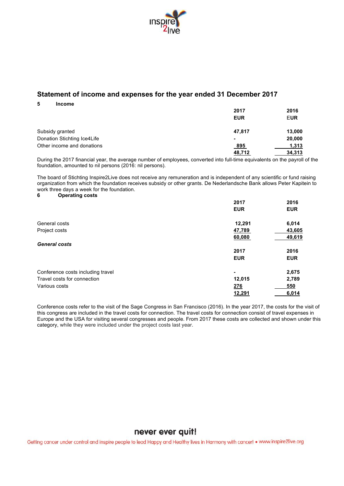

### **Statement of income and expenses for the year ended 31 December 2017**

**5 Income**

|                             | 2017       | 2016       |
|-----------------------------|------------|------------|
|                             | <b>EUR</b> | <b>EUR</b> |
| Subsidy granted             | 47,817     | 13,000     |
| Donation Stichting Ice4Life | ٠          | 20,000     |
| Other income and donations  | <u>895</u> | 1,313      |
|                             | 48,712     | 34,313     |

During the 2017 financial year, the average number of employees, converted into full-time equivalents on the payroll of the foundation, amounted to nil persons (2016: nil persons).

The board of Stichting Inspire2Live does not receive any remuneration and is independent of any scientific or fund raising organization from which the foundation receives subsidy or other grants. De Nederlandsche Bank allows Peter Kapitein to work three days a week for the foundation.

#### **6 Operating costs**

|                                   | 2017       | 2016       |
|-----------------------------------|------------|------------|
|                                   | <b>EUR</b> | <b>EUR</b> |
| General costs                     | 12,291     | 6,014      |
| Project costs                     | 47,789     | 43,605     |
|                                   | 60,080     | 49,619     |
| <b>General costs</b>              |            |            |
|                                   | 2017       | 2016       |
|                                   | <b>EUR</b> | <b>EUR</b> |
| Conference costs including travel | ۰          | 2,675      |
| Travel costs for connection       | 12,015     | 2,789      |
| Various costs                     | 276        | 550        |
|                                   | 12,291     | 6,014      |

Conference costs refer to the visit of the Sage Congress in San Francisco (2016). In the year 2017, the costs for the visit of this congress are included in the travel costs for connection. The travel costs for connection consist of travel expenses in Europe and the USA for visiting several congresses and people. From 2017 these costs are collected and shown under this category, while they were included under the project costs last year.

### never ever quit!